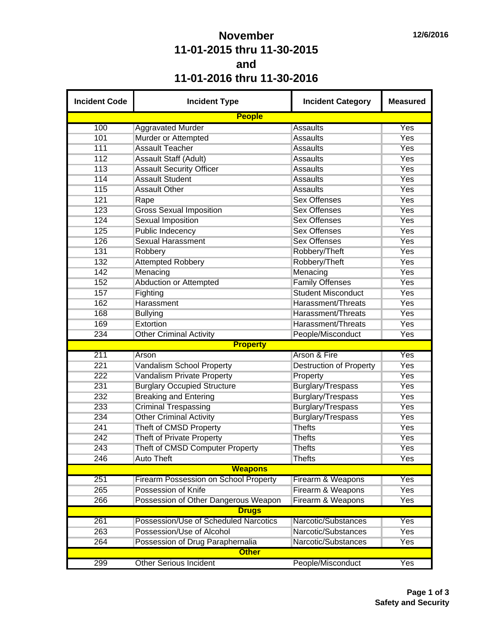## **November 11-01-2015 thru 11-30-2015 and 11-01-2016 thru 11-30-2016**

| <b>Incident Code</b> | <b>Incident Type</b>                                          | <b>Incident Category</b>       | <b>Measured</b> |  |  |  |  |  |
|----------------------|---------------------------------------------------------------|--------------------------------|-----------------|--|--|--|--|--|
|                      | <b>People</b>                                                 |                                |                 |  |  |  |  |  |
| 100                  | <b>Aggravated Murder</b>                                      | Assaults                       | Yes             |  |  |  |  |  |
| 101                  | Murder or Attempted                                           | <b>Assaults</b>                | Yes             |  |  |  |  |  |
| 111                  | <b>Assault Teacher</b>                                        | <b>Assaults</b>                | Yes             |  |  |  |  |  |
| 112                  | <b>Assault Staff (Adult)</b>                                  | <b>Assaults</b>                | Yes             |  |  |  |  |  |
| 113                  | <b>Assault Security Officer</b>                               | <b>Assaults</b>                | Yes             |  |  |  |  |  |
| 114                  | <b>Assault Student</b>                                        | <b>Assaults</b>                | Yes             |  |  |  |  |  |
| 115                  | <b>Assault Other</b>                                          | <b>Assaults</b>                | Yes             |  |  |  |  |  |
| 121                  | Rape                                                          | <b>Sex Offenses</b>            | Yes             |  |  |  |  |  |
| 123                  | <b>Gross Sexual Imposition</b>                                | <b>Sex Offenses</b>            | <b>Yes</b>      |  |  |  |  |  |
| 124                  | <b>Sexual Imposition</b>                                      | <b>Sex Offenses</b>            | <b>Yes</b>      |  |  |  |  |  |
| 125                  | <b>Public Indecency</b>                                       | <b>Sex Offenses</b>            | Yes             |  |  |  |  |  |
| 126                  | <b>Sexual Harassment</b>                                      | <b>Sex Offenses</b>            | Yes             |  |  |  |  |  |
| 131                  | Robbery                                                       | Robbery/Theft                  | <b>Yes</b>      |  |  |  |  |  |
| 132                  | <b>Attempted Robbery</b>                                      | Robbery/Theft                  | Yes             |  |  |  |  |  |
| 142                  | Menacing                                                      | Menacing                       | Yes             |  |  |  |  |  |
| 152                  | <b>Abduction or Attempted</b>                                 | <b>Family Offenses</b>         | <b>Yes</b>      |  |  |  |  |  |
| 157                  | Fighting                                                      | <b>Student Misconduct</b>      | <b>Yes</b>      |  |  |  |  |  |
| 162                  | Harassment                                                    | Harassment/Threats             | <b>Yes</b>      |  |  |  |  |  |
| 168                  | <b>Bullying</b>                                               | Harassment/Threats             | <b>Yes</b>      |  |  |  |  |  |
| 169                  | Extortion                                                     | Harassment/Threats             | <b>Yes</b>      |  |  |  |  |  |
| 234                  | <b>Other Criminal Activity</b>                                | People/Misconduct              | Yes             |  |  |  |  |  |
|                      | <b>Property</b>                                               |                                |                 |  |  |  |  |  |
| 211                  | Arson                                                         | <b>Arson &amp; Fire</b>        | Yes             |  |  |  |  |  |
| 221                  | <b>Vandalism School Property</b>                              | <b>Destruction of Property</b> | <b>Yes</b>      |  |  |  |  |  |
| 222                  | Vandalism Private Property                                    | Property                       | Yes             |  |  |  |  |  |
| 231                  | <b>Burglary Occupied Structure</b>                            | <b>Burglary/Trespass</b>       | <b>Yes</b>      |  |  |  |  |  |
| 232                  | <b>Breaking and Entering</b>                                  | Burglary/Trespass              | <b>Yes</b>      |  |  |  |  |  |
| 233                  |                                                               |                                | <b>Yes</b>      |  |  |  |  |  |
|                      | <b>Criminal Trespassing</b><br><b>Other Criminal Activity</b> | Burglary/Trespass              | Yes             |  |  |  |  |  |
| 234                  |                                                               | Burglary/Trespass              |                 |  |  |  |  |  |
| 241                  | Theft of CMSD Property                                        | <b>Thefts</b>                  | Yes             |  |  |  |  |  |
| 242                  | Theft of Private Property                                     | <b>Thefts</b>                  | Yes             |  |  |  |  |  |
| 243                  | Theft of CMSD Computer Property                               | <b>Thefts</b>                  | Yes             |  |  |  |  |  |
| 246                  | <b>Auto Theft</b>                                             | <b>Thefts</b>                  | Yes             |  |  |  |  |  |
|                      | <b>Weapons</b>                                                |                                |                 |  |  |  |  |  |
| 251                  | <b>Firearm Possession on School Property</b>                  | Firearm & Weapons              | Yes             |  |  |  |  |  |
| 265                  | Possession of Knife                                           | Firearm & Weapons              | <b>Yes</b>      |  |  |  |  |  |
| 266                  | Possession of Other Dangerous Weapon                          | Firearm & Weapons              | Yes             |  |  |  |  |  |
|                      | <b>Drugs</b>                                                  |                                |                 |  |  |  |  |  |
| 261                  | Possession/Use of Scheduled Narcotics                         | Narcotic/Substances            | Yes             |  |  |  |  |  |
| 263                  | Possession/Use of Alcohol                                     | Narcotic/Substances            | Yes             |  |  |  |  |  |
| 264                  | Possession of Drug Paraphernalia                              | Narcotic/Substances            | Yes             |  |  |  |  |  |
|                      | <b>Other</b>                                                  |                                |                 |  |  |  |  |  |
| 299                  | <b>Other Serious Incident</b>                                 | People/Misconduct              | Yes             |  |  |  |  |  |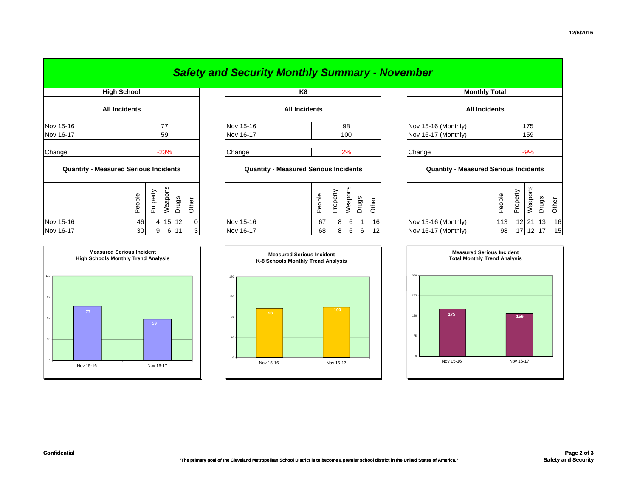|                                              |                   |          |         |         |                | <b>Safety and Security Monthly Summary - November</b> |  |        |          |          |       |       |                      |                                              |        |          |         |                 |       |
|----------------------------------------------|-------------------|----------|---------|---------|----------------|-------------------------------------------------------|--|--------|----------|----------|-------|-------|----------------------|----------------------------------------------|--------|----------|---------|-----------------|-------|
| <b>High School</b><br><b>All Incidents</b>   |                   |          |         |         | K <sub>8</sub> |                                                       |  |        |          |          |       |       | <b>Monthly Total</b> |                                              |        |          |         |                 |       |
|                                              |                   |          |         |         |                | <b>All Incidents</b>                                  |  |        |          |          |       |       | <b>All Incidents</b> |                                              |        |          |         |                 |       |
| Nov 15-16                                    |                   |          | 77      |         |                | Nov 15-16                                             |  |        |          | 98       |       |       |                      | Nov 15-16 (Monthly)                          |        |          | 175     |                 |       |
| Nov 16-17                                    |                   |          | 59      |         |                | Nov 16-17                                             |  |        |          | 100      |       |       | Nov 16-17 (Monthly)  |                                              | 159    |          |         |                 |       |
| Change                                       |                   |          | $-23%$  |         |                | Change                                                |  |        |          | 2%       |       |       |                      | Change                                       |        | $-9%$    |         |                 |       |
| <b>Quantity - Measured Serious Incidents</b> |                   |          |         |         |                | <b>Quantity - Measured Serious Incidents</b>          |  |        |          |          |       |       |                      | <b>Quantity - Measured Serious Incidents</b> |        |          |         |                 |       |
|                                              | eople<br>$\Omega$ | Property | Weapons | Drugs   | Other          |                                                       |  | People | Property | Weapons  | Drugs | Other |                      |                                              | People | Property | Weapons | Drugs           | Other |
| Nov 15-16                                    | 46                |          | 4       | $15$ 12 |                | Nov 15-16                                             |  | 67     | 8        | $6 \mid$ |       | 16    |                      | Nov 15-16 (Monthly)                          | 113    |          | 12 21   | 13 <sup>l</sup> | 16    |
| Nov 16-17                                    | 30                |          | 9<br>6  | 11      |                | Nov 16-17                                             |  | 68     | 8        | 6        | 6     |       |                      | Nov 16-17 (Monthly)                          | 98     | 17       | 12      | 17              | 15    |

| <b>Monthly Total</b>                         |        |          |         |       |       |  |  |  |  |  |
|----------------------------------------------|--------|----------|---------|-------|-------|--|--|--|--|--|
| <b>All Incidents</b>                         |        |          |         |       |       |  |  |  |  |  |
| Nov 15-16 (Monthly)<br>175                   |        |          |         |       |       |  |  |  |  |  |
| Nov 16-17 (Monthly)                          | 159    |          |         |       |       |  |  |  |  |  |
|                                              |        |          |         |       |       |  |  |  |  |  |
| Change                                       | $-9%$  |          |         |       |       |  |  |  |  |  |
| <b>Quantity - Measured Serious Incidents</b> |        |          |         |       |       |  |  |  |  |  |
|                                              | People | Property | Weapons | Drugs | Other |  |  |  |  |  |
| Nov 15-16 (Monthly)                          | 113    | 12       | 21      | 13    | 16    |  |  |  |  |  |
| Nov 16-17 (Monthly)                          | 98     | 17       | 12      | 17    | 15    |  |  |  |  |  |





## *Safety and Security Monthly Summary - November*

**Measured Serious Incident**

**<sup>100</sup>**

**Confidential**

**Measured Serious IncidentHigh Schools Monthly Trend Analysis**

120

30

60

90